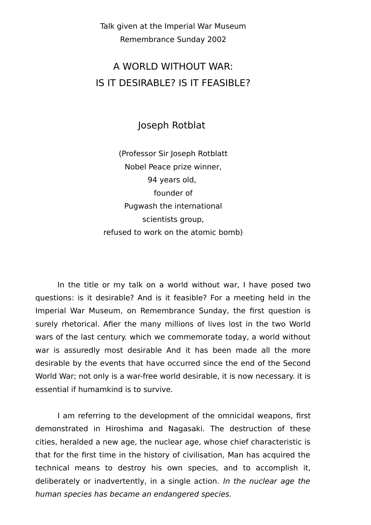Talk given at the Imperial War Museum Remembrance Sunday 2002

## A WORLD WITHOUT WAR: IS IT DESIRABLE? IS IT FEASIBLE?

Joseph Rotblat

(Professor Sir Joseph Rotblatt Nobel Peace prize winner, 94 years old, founder of Pugwash the international scientists group, refused to work on the atomic bomb)

In the title or my talk on a world without war, I have posed two questions: is it desirable? And is it feasible? For a meeting held in the Imperial War Museum, on Remembrance Sunday, the first question is surely rhetorical. Afier the many millions of lives lost in the two World wars of the last century. which we commemorate today, a world without war is assuredly most desirable And it has been made all the more desirable by the events that have occurred since the end of the Second World War; not only is a war-free world desirable, it is now necessary. it is essential if humamkind is to survive.

I am referring to the development of the omnicidal weapons, first demonstrated in Hiroshima and Nagasaki. The destruction of these cities, heralded a new age, the nuclear age, whose chief characteristic is that for the first time in the history of civilisation, Man has acquired the technical means to destroy his own species, and to accomplish it, deliberately or inadvertently, in a single action. In the nuclear age the human species has became an endangered species.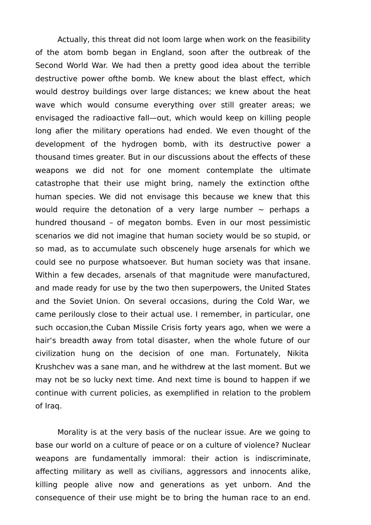Actually, this threat did not loom large when work on the feasibility of the atom bomb began in England, soon after the outbreak of the Second World War. We had then a pretty good idea about the terrible destructive power ofthe bomb. We knew about the blast effect, which would destroy buildings over large distances; we knew about the heat wave which would consume everything over still greater areas; we envisaged the radioactive fall—out, which would keep on killing people long afier the military operations had ended. We even thought of the development of the hydrogen bomb, with its destructive power a thousand times greater. But in our discussions about the effects of these weapons we did not for one moment contemplate the ultimate catastrophe that their use might bring, namely the extinction ofthe human species. We did not envisage this because we knew that this would require the detonation of a very large number  $\sim$  perhaps a hundred thousand – of megaton bombs. Even in our most pessimistic scenarios we did not imagine that human society would be so stupid, or so mad, as to accumulate such obscenely huge arsenals for which we could see no purpose whatsoever. But human society was that insane. Within a few decades, arsenals of that magnitude were manufactured, and made ready for use by the two then superpowers, the United States and the Soviet Union. On several occasions, during the Cold War, we came perilously close to their actual use. I remember, in particular, one such occasion,the Cuban Missile Crisis forty years ago, when we were a hair's breadth away from total disaster, when the whole future of our civilization hung on the decision of one man. Fortunately, Nikita Krushchev was a sane man, and he withdrew at the last moment. But we may not be so lucky next time. And next time is bound to happen if we continue with current policies, as exemplified in relation to the problem of Iraq.

Morality is at the very basis of the nuclear issue. Are we going to base our world on a culture of peace or on a culture of violence? Nuclear weapons are fundamentally immoral: their action is indiscriminate, affecting military as well as civilians, aggressors and innocents alike, killing people alive now and generations as yet unborn. And the consequence of their use might be to bring the human race to an end.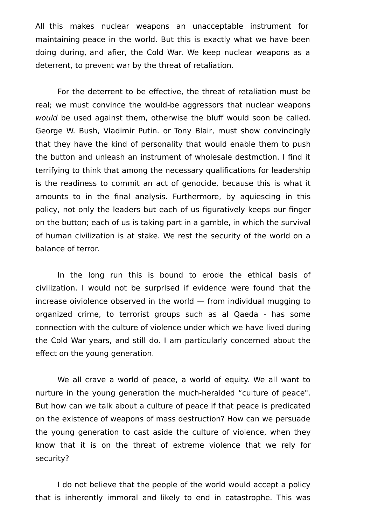All this makes nuclear weapons an unacceptable instrument for maintaining peace in the world. But this is exactly what we have been doing during, and afier, the Cold War. We keep nuclear weapons as a deterrent, to prevent war by the threat of retaliation.

For the deterrent to be effective, the threat of retaliation must be real; we must convince the would-be aggressors that nuclear weapons would be used against them, otherwise the bluff would soon be called. George W. Bush, Vladimir Putin. or Tony Blair, must show convincingly that they have the kind of personality that would enable them to push the button and unleash an instrument of wholesale destmction. I find it terrifying to think that among the necessary qualifications for leadership is the readiness to commit an act of genocide, because this is what it amounts to in the final analysis. Furthermore, by aquiescing in this policy, not only the leaders but each of us figuratively keeps our finger on the button; each of us is taking part in a gamble, in which the survival of human civilization is at stake. We rest the security of the world on a balance of terror.

In the long run this is bound to erode the ethical basis of civilization. I would not be surprlsed if evidence were found that the increase oiviolence observed in the world — from individual mugging to organized crime, to terrorist groups such as al Qaeda - has some connection with the culture of violence under which we have lived during the Cold War years, and still do. I am particularly concerned about the effect on the young generation.

We all crave a world of peace, a world of equity. We all want to nurture in the young generation the much-heralded "culture of peace". But how can we talk about a culture of peace if that peace is predicated on the existence of weapons of mass destruction? How can we persuade the young generation to cast aside the culture of violence, when they know that it is on the threat of extreme violence that we rely for security?

I do not believe that the people of the world would accept a policy that is inherently immoral and likely to end in catastrophe. This was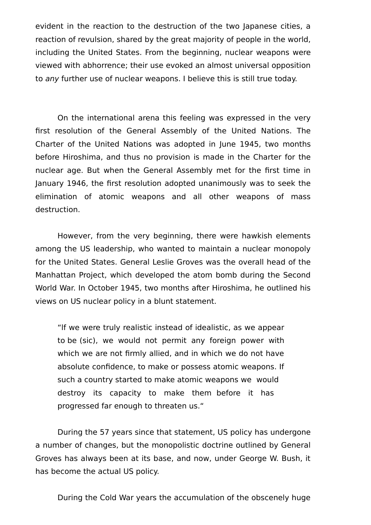evident in the reaction to the destruction of the two Japanese cities, a reaction of revulsion, shared by the great majority of people in the world, including the United States. From the beginning, nuclear weapons were viewed with abhorrence; their use evoked an almost universal opposition to any further use of nuclear weapons. I believe this is still true today.

On the international arena this feeling was expressed in the very first resolution of the General Assembly of the United Nations. The Charter of the United Nations was adopted in June 1945, two months before Hiroshima, and thus no provision is made in the Charter for the nuclear age. But when the General Assembly met for the first time in January 1946, the first resolution adopted unanimously was to seek the elimination of atomic weapons and all other weapons of mass destruction.

However, from the very beginning, there were hawkish elements among the US leadership, who wanted to maintain a nuclear monopoly for the United States. General Leslie Groves was the overall head of the Manhattan Project, which developed the atom bomb during the Second World War. In October 1945, two months after Hiroshima, he outlined his views on US nuclear policy in a blunt statement.

"lf we were truly realistic instead of idealistic, as we appear to be (sic), we would not permit any foreign power with which we are not firmly allied, and in which we do not have absolute confidence, to make or possess atomic weapons. If such a country started to make atomic weapons we would destroy its capacity to make them before it has progressed far enough to threaten us."

During the 57 years since that statement, US policy has undergone a number of changes, but the monopolistic doctrine outlined by General Groves has always been at its base, and now, under George W. Bush, it has become the actual US policy.

During the Cold War years the accumulation of the obscenely huge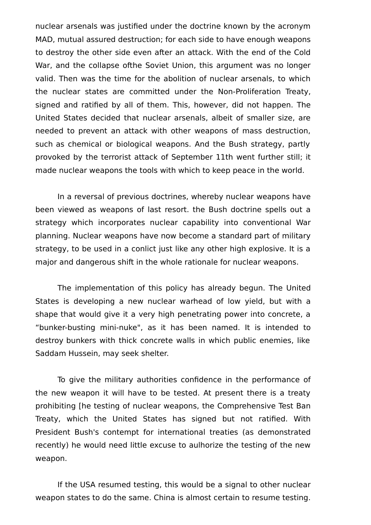nuclear arsenals was justified under the doctrine known by the acronym MAD, mutual assured destruction; for each side to have enough weapons to destroy the other side even after an attack. With the end of the Cold War, and the collapse ofthe Soviet Union, this argument was no longer valid. Then was the time for the abolition of nuclear arsenals, to which the nuclear states are committed under the Non-Proliferation Treaty, signed and ratified by all of them. This, however, did not happen. The United States decided that nuclear arsenals, albeit of smaller size, are needed to prevent an attack with other weapons of mass destruction, such as chemical or biological weapons. And the Bush strategy, partly provoked by the terrorist attack of September 11th went further still; it made nuclear weapons the tools with which to keep peace in the world.

In a reversal of previous doctrines, whereby nuclear weapons have been viewed as weapons of last resort. the Bush doctrine spells out a strategy which incorporates nuclear capability into conventional War planning. Nuclear weapons have now become a standard part of military strategy, to be used in a conlict just like any other high explosive. It is a major and dangerous shift in the whole rationale for nuclear weapons.

The implementation of this policy has already begun. The United States is developing a new nuclear warhead of low yield, but with a shape that would give it a very high penetrating power into concrete, a "bunker-busting mini-nuke", as it has been named. It is intended to destroy bunkers with thick concrete walls in which public enemies, like Saddam Hussein, may seek shelter.

To give the military authorities confidence in the performance of the new weapon it will have to be tested. At present there is a treaty prohibiting [he testing of nuclear weapons, the Comprehensive Test Ban Treaty, which the United States has signed but not ratified. With President Bush's contempt for international treaties (as demonstrated recently) he would need little excuse to aulhorize the testing of the new weapon.

If the USA resumed testing, this would be a signal to other nuclear weapon states to do the same. China is almost certain to resume testing.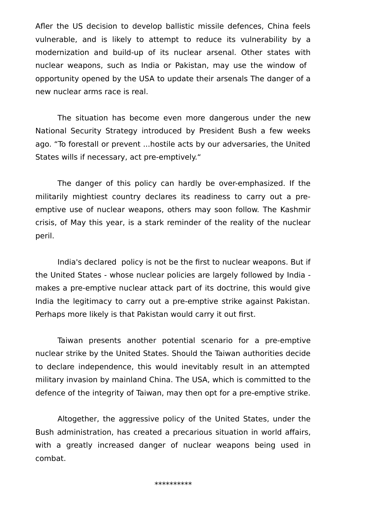Afler the US decision to develop ballistic missile defences, China feels vulnerable, and is likely to attempt to reduce its vulnerability by a modernization and build-up of its nuclear arsenal. Other states with nuclear weapons, such as India or Pakistan, may use the window of opportunity opened by the USA to update their arsenals The danger of a new nuclear arms race is real.

The situation has become even more dangerous under the new National Security Strategy introduced by President Bush a few weeks ago. "To forestall or prevent ...hostile acts by our adversaries, the United States wills if necessary, act pre-emptively."

The danger of this policy can hardly be over-emphasized. If the militarily mightiest country declares its readiness to carry out a preemptive use of nuclear weapons, others may soon follow. The Kashmir crisis, of May this year, is a stark reminder of the reality of the nuclear peril.

India's declared policy is not be the first to nuclear weapons. But if the United States - whose nuclear policies are largely followed by India makes a pre-emptive nuclear attack part of its doctrine, this would give India the legitimacy to carry out a pre-emptive strike against Pakistan. Perhaps more likely is that Pakistan would carry it out first.

Taiwan presents another potential scenario for a pre-emptive nuclear strike by the United States. Should the Taiwan authorities decide to declare independence, this would inevitably result in an attempted military invasion by mainland China. The USA, which is committed to the defence of the integrity of Taiwan, may then opt for a pre-emptive strike.

Altogether, the aggressive policy of the United States, under the Bush administration, has created a precarious situation in world affairs, with a greatly increased danger of nuclear weapons being used in combat.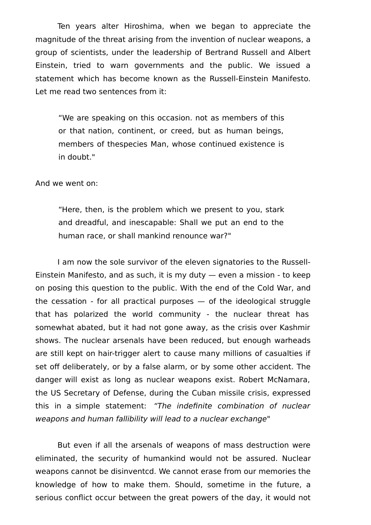Ten years alter Hiroshima, when we began to appreciate the magnitude of the threat arising from the invention of nuclear weapons, a group of scientists, under the leadership of Bertrand Russell and Albert Einstein, tried to warn governments and the public. We issued a statement which has become known as the Russell-Einstein Manifesto. Let me read two sentences from it:

"We are speaking on this occasion. not as members of this or that nation, continent, or creed, but as human beings, members of thespecies Man, whose continued existence is in doubt."

And we went on:

"Here, then, is the problem which we present to you, stark and dreadful, and inescapable: Shall we put an end to the human race, or shall mankind renounce war?"

I am now the sole survivor of the eleven signatories to the Russell-Einstein Manifesto, and as such, it is my duty — even a mission - to keep on posing this question to the public. With the end of the Cold War, and the cessation - for all practical purposes  $-$  of the ideological struggle that has polarized the world community - the nuclear threat has somewhat abated, but it had not gone away, as the crisis over Kashmir shows. The nuclear arsenals have been reduced, but enough warheads are still kept on hair-trigger alert to cause many millions of casualties if set off deliberately, or by a false alarm, or by some other accident. The danger will exist as long as nuclear weapons exist. Robert McNamara, the US Secretary of Defense, during the Cuban missile crisis, expressed this in a simple statement: "The indefinite combination of nuclear weapons and human fallibility will lead to a nuclear exchange"

But even if all the arsenals of weapons of mass destruction were eliminated, the security of humankind would not be assured. Nuclear weapons cannot be disinventcd. We cannot erase from our memories the knowledge of how to make them. Should, sometime in the future, a serious conflict occur between the great powers of the day, it would not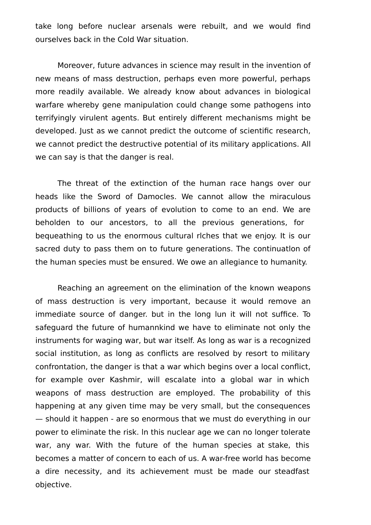take long before nuclear arsenals were rebuilt, and we would find ourselves back in the Cold War situation.

Moreover, future advances in science may result in the invention of new means of mass destruction, perhaps even more powerful, perhaps more readily available. We already know about advances in biological warfare whereby gene manipulation could change some pathogens into terrifyingly virulent agents. But entirely different mechanisms might be developed. Just as we cannot predict the outcome of scientific research, we cannot predict the destructive potential of its military applications. All we can say is that the danger is real.

The threat of the extinction of the human race hangs over our heads like the Sword of Damocles. We cannot allow the miraculous products of billions of years of evolution to come to an end. We are beholden to our ancestors, to all the previous generations, for bequeathing to us the enormous cultural rlches that we enjoy. It is our sacred duty to pass them on to future generations. The continuatlon of the human species must be ensured. We owe an allegiance to humanity.

Reaching an agreement on the elimination of the known weapons of mass destruction is very important, because it would remove an immediate source of danger. but in the long lun it will not suffice. To safeguard the future of humannkind we have to eliminate not only the instruments for waging war, but war itself. As long as war is a recognized social institution, as long as conflicts are resolved by resort to military confrontation, the danger is that a war which begins over a local conflict, for example over Kashmir, will escalate into a global war in which weapons of mass destruction are employed. The probability of this happening at any given time may be very small, but the consequences — should it happen - are so enormous that we must do everything in our power to eliminate the risk. ln this nuclear age we can no longer tolerate war, any war. With the future of the human species at stake, this becomes a matter of concern to each of us. A war-free world has become a dire necessity, and its achievement must be made our steadfast objective.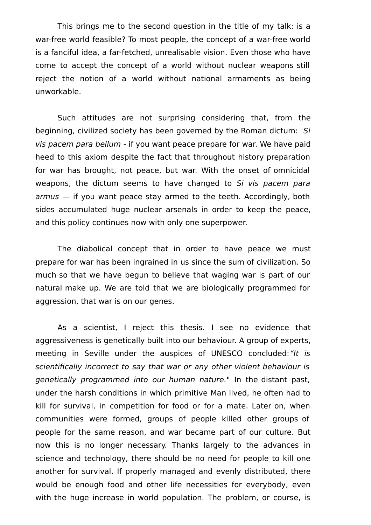This brings me to the second question in the title of my talk: is a war-free world feasible? To most people, the concept of a war-free world is a fanciful idea, a far-fetched, unrealisable vision. Even those who have come to accept the concept of a world without nuclear weapons still reject the notion of a world without national armaments as being unworkable.

Such attitudes are not surprising considering that, from the beginning, civilized society has been governed by the Roman dictum: Si vis pacem para bellum - if you want peace prepare for war. We have paid heed to this axiom despite the fact that throughout history preparation for war has brought, not peace, but war. With the onset of omnicidal weapons, the dictum seems to have changed to Si vis pacem para armus — if you want peace stay armed to the teeth. Accordingly, both sides accumulated huge nuclear arsenals in order to keep the peace, and this policy continues now with only one superpower.

The diabolical concept that in order to have peace we must prepare for war has been ingrained in us since the sum of civilization. So much so that we have begun to believe that waging war is part of our natural make up. We are told that we are biologically programmed for aggression, that war is on our genes.

As a scientist, I reject this thesis. I see no evidence that aggressiveness is genetically built into our behaviour. A group of experts, meeting in Seville under the auspices of UNESCO concluded: "It is scientifically incorrect to say that war or any other violent behaviour is genetically programmed into our human nature." In the distant past, under the harsh conditions in which primitive Man lived, he often had to kill for survival, in competition for food or for a mate. Later on, when communities were formed, groups of people killed other groups of people for the same reason, and war became part of our culture. But now this is no longer necessary. Thanks largely to the advances in science and technology, there should be no need for people to kill one another for survival. If properly managed and evenly distributed, there would be enough food and other life necessities for everybody, even with the huge increase in world population. The problem, or course, is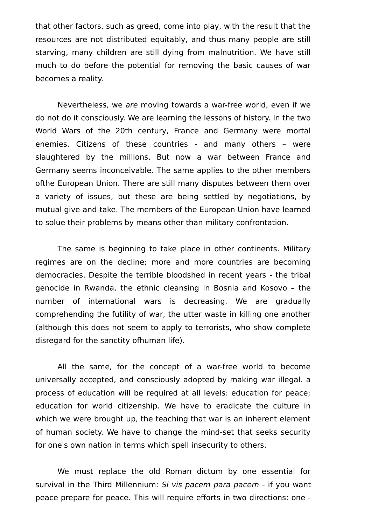that other factors, such as greed, come into play, with the result that the resources are not distributed equitably, and thus many people are still starving, many children are still dying from malnutrition. We have still much to do before the potential for removing the basic causes of war becomes a reality.

Nevertheless, we are moving towards a war-free world, even if we do not do it consciously. We are learning the lessons of history. In the two World Wars of the 20th century, France and Germany were mortal enemies. Citizens of these countries - and many others - were slaughtered by the millions. But now a war between France and Germany seems inconceivable. The same applies to the other members ofthe European Union. There are still many disputes between them over a variety of issues, but these are being settled by negotiations, by mutual give-and-take. The members of the European Union have learned to solue their problems by means other than military confrontation.

The same is beginning to take place in other continents. Military regimes are on the decline; more and more countries are becoming democracies. Despite the terrible bloodshed in recent years - the tribal genocide in Rwanda, the ethnic cleansing in Bosnia and Kosovo – the number of international wars is decreasing. We are gradually comprehending the futility of war, the utter waste in killing one another (although this does not seem to apply to terrorists, who show complete disregard for the sanctity ofhuman life).

All the same, for the concept of a war-free world to become universally accepted, and consciously adopted by making war illegal. a process of education will be required at all levels: education for peace; education for world citizenship. We have to eradicate the culture in which we were brought up, the teaching that war is an inherent element of human society. We have to change the mind-set that seeks security for one's own nation in terms which spell insecurity to others.

We must replace the old Roman dictum by one essential for survival in the Third Millennium: Si vis pacem para pacem - if you want peace prepare for peace. This will require efforts in two directions: one -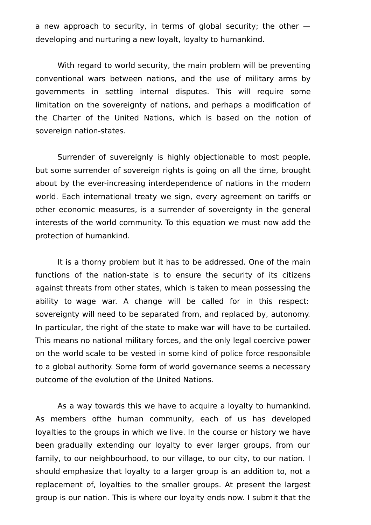a new approach to security, in terms of global security; the other developing and nurturing a new loyalt, loyalty to humankind.

With regard to world security, the main problem will be preventing conventional wars between nations, and the use of military arms by governments in settling internal disputes. This will require some limitation on the sovereignty of nations, and perhaps a modification of the Charter of the United Nations, which is based on the notion of sovereign nation-states.

Surrender of suvereignly is highly objectionable to most people, but some surrender of sovereign rights is going on all the time, brought about by the ever-increasing interdependence of nations in the modern world. Each international treaty we sign, every agreement on tariffs or other economic measures, is a surrender of sovereignty in the general interests of the world community. To this equation we must now add the protection of humankind.

It is a thorny problem but it has to be addressed. One of the main functions of the nation-state is to ensure the security of its citizens against threats from other states, which is taken to mean possessing the ability to wage war. A change will be called for in this respect: sovereignty will need to be separated from, and replaced by, autonomy. In particular, the right of the state to make war will have to be curtailed. This means no national military forces, and the only legal coercive power on the world scale to be vested in some kind of police force responsible to a global authority. Some form of world governance seems a necessary outcome of the evolution of the United Nations.

As a way towards this we have to acquire a loyalty to humankind. As members ofthe human community, each of us has developed loyalties to the groups in which we live. In the course or history we have been gradually extending our loyalty to ever larger groups, from our family, to our neighbourhood, to our village, to our city, to our nation. I should emphasize that loyalty to a larger group is an addition to, not a replacement of, loyalties to the smaller groups. At present the largest group is our nation. This is where our loyalty ends now. I submit that the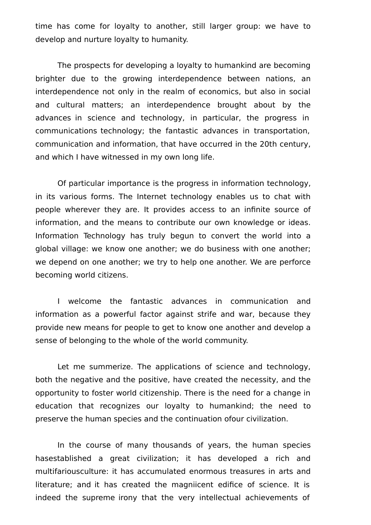time has come for loyalty to another, still larger group: we have to develop and nurture loyalty to humanity.

The prospects for developing a loyalty to humankind are becoming brighter due to the growing interdependence between nations, an interdependence not only in the realm of economics, but also in social and cultural matters; an interdependence brought about by the advances in science and technology, in particular, the progress in communications technology; the fantastic advances in transportation, communication and information, that have occurred in the 20th century, and which I have witnessed in my own long life.

Of particular importance is the progress in information technology, in its various forms. The Internet technology enables us to chat with people wherever they are. It provides access to an infinite source of information, and the means to contribute our own knowledge or ideas. Information Technology has truly begun to convert the world into a global village: we know one another; we do business with one another; we depend on one another; we try to help one another. We are perforce becoming world citizens.

I welcome the fantastic advances in communication and information as a powerful factor against strife and war, because they provide new means for people to get to know one another and develop a sense of belonging to the whole of the world community.

Let me summerize. The applications of science and technology, both the negative and the positive, have created the necessity, and the opportunity to foster world citizenship. There is the need for a change in education that recognizes our loyalty to humankind; the need to preserve the human species and the continuation ofour civilization.

In the course of many thousands of years, the human species hasestablished a great civilization; it has developed a rich and multifariousculture: it has accumulated enormous treasures in arts and literature; and it has created the magniicent edifice of science. It is indeed the supreme irony that the very intellectual achievements of